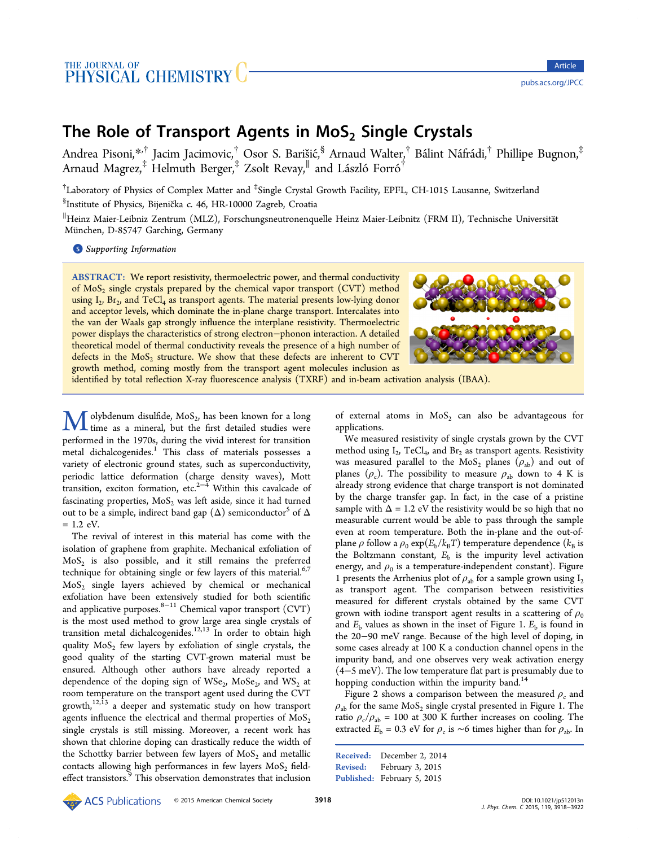# The Role of Transport Agents in  $MoS<sub>2</sub>$  Single Crystals

Andrea Pisoni, $^{*,\dagger}$  Jacim Jacimovic, $^\dagger$  Osor S. Barišić, $^{\$}$  Arnaud Walter, $^\dagger$  Bálint Náfrádi, $^\dagger$  Phillipe Bugnon, $^\ddagger$ Arnaud Magr[ez,](#page-3-0) $^\ddagger$  Helmuth Berger, $^\ddagger$  Zsolt Revay, $^\parallel$  and László Forró $^\dagger$ 

 $^\dagger$ Laboratory of Physics of Complex Matter and  $^{\ddagger}$ Single Crystal Growth Facility, EPFL, CH-1015 Lausanne, Switzerland  ${}^{\S}$ Institute of Physics, Bijenička c. 46, HR-10000 Zagreb, Croatia

∥ Heinz Maier-Leibniz Zentrum (MLZ), Forschungsneutronenquelle Heinz Maier-Leibnitz (FRM II), Technische Universitat ̈ München, D-85747 Garching, Germany

**S** Supporting Information

[AB](#page-3-0)STRACT: [We report res](#page-3-0)istivity, thermoelectric power, and thermal conductivity of  $MoS<sub>2</sub>$  single crystals prepared by the chemical vapor transport  $(CVT)$  method using  $I_2$ , Br<sub>2</sub>, and TeCl<sub>4</sub> as transport agents. The material presents low-lying donor and acceptor levels, which dominate the in-plane charge transport. Intercalates into the van der Waals gap strongly influence the interplane resistivity. Thermoelectric power displays the characteristics of strong electron−phonon interaction. A detailed theoretical model of thermal conductivity reveals the presence of a high number of defects in the  $MoS<sub>2</sub>$  structure. We show that these defects are inherent to CVT growth method, coming mostly from the transport agent molecules inclusion as



identified by total reflection X-ray fluorescence analysis (TXRF) and in-beam activation analysis (IBAA).

olybdenum disulfide,  $MoS<sub>2</sub>$ , has been known for a long L time as a mineral, but the first detailed studies were performed in the 1970s, during the vivid interest for transition metal dichalcogenides.<sup>1</sup> This class of materials possesses a variety of electronic ground states, such as superconductivity, periodic lattice defor[m](#page-3-0)ation (charge density waves), Mott transition, exciton formation, etc.<sup>2−4</sup> Within this cavalcade of fascinating properties,  $MoS<sub>2</sub>$  was left aside, since it had turned out to be a simple, indirect band [gap](#page-3-0)  $(\Delta)$  semiconductor<sup>5</sup> of  $\Delta$  $= 1.2$  eV.

The revival of interest in this material has come wi[th](#page-3-0) the isolation of graphene from graphite. Mechanical exfoliation of  $MoS<sub>2</sub>$  is also possible, and it still remains the preferred technique for obtaining single or few layers of this material. $6,7$ MoS2 single layers achieved by chemical or mechanical exfoliation have been extensively studied for both scienti[fi](#page-3-0)[c](#page-3-0) and applicative purposes. $8-11$  Chemical vapor transport (CVT) is the most used method to grow large area single crystals of transition metal dichalc[og](#page-3-0)[eni](#page-4-0)des.<sup>12,13</sup> In order to obtain high quality  $MoS<sub>2</sub>$  few layers by exfoliation of single crystals, the good quality of the starting C[VT-g](#page-4-0)rown material must be ensured. Although other authors have already reported a dependence of the doping sign of  $WSe_2$ ,  $MoSe_2$ , and  $WS_2$  at room temperature on the transport agent used during the CVT growth, $12,13$  a deeper and systematic study on how transport agents influence the electrical and thermal properties of  $MoS<sub>2</sub>$ single [crysta](#page-4-0)ls is still missing. Moreover, a recent work has shown that chlorine doping can drastically reduce the width of the Schottky barrier between few layers of  $MoS<sub>2</sub>$  and metallic contacts allowing high performances in few layers  $MoS<sub>2</sub>$  fieldeffect transistors.<sup>9</sup> This observation demonstrates that inclusion

of external atoms in  $MoS<sub>2</sub>$  can also be advantageous for applications.

We measured resistivity of single crystals grown by the CVT method using  $I_2$ , TeCl<sub>4</sub>, and Br<sub>2</sub> as transport agents. Resistivity was measured parallel to the MoS<sub>2</sub> planes  $(\rho_{ab})$  and out of planes ( $\rho_c$ ). The possibility to measure  $\rho_{ab}$  down to 4 K is already strong evidence that charge transport is not dominated by the charge transfer gap. In fact, in the case of a pristine sample with  $\Delta = 1.2$  eV the resistivity would be so high that no measurable current would be able to pass through the sample even at room temperature. Both the in-plane and the out-ofplane  $\rho$  follow a  $\rho_0 \exp(E_b/k_{\rm B}T)$  temperature dependence ( $k_{\rm B}$  is the Boltzmann constant,  $E<sub>b</sub>$  is the impurity level activation energy, and  $\rho_0$  is a temperature-independent constant). Figure 1 presents the Arrhenius plot of  $\rho_{ab}$  for a sample grown using  $I_2$ as transport agent. The comparison between resistivities [m](#page-1-0)easured for different crystals obtained by the same CVT grown with iodine transport agent results in a scattering of  $\rho_0$ and  $E<sub>b</sub>$  values as shown in the inset of Figure 1.  $E<sub>b</sub>$  is found in the 20−90 meV range. Because of the high level of doping, in some cases already at 100 K a conduction cha[nn](#page-1-0)el opens in the impurity band, and one observes very weak activation energy (4−5 meV). The low temperature flat part is presumably due to hopping conduction within the impurity band.<sup>14</sup>

Figure 2 shows a comparison between the measured  $\rho_c$  and  $\rho_{ab}$  for the same MoS<sub>2</sub> s[in](#page-4-0)gle crystal presented in Figure 1. The ratio  $\rho_c/\rho_{ab}$  $\rho_c/\rho_{ab}$  $\rho_c/\rho_{ab}$  = 100 at 300 K further increases on cooling. The extracted  $E_b$  = 0.3 eV for  $\rho_c$  is ∼6 times higher than for  $\rho_{ab}$ . In

```
Received: December 2, 2014
Revised: February 3, 2015
Published: February 5, 2015
```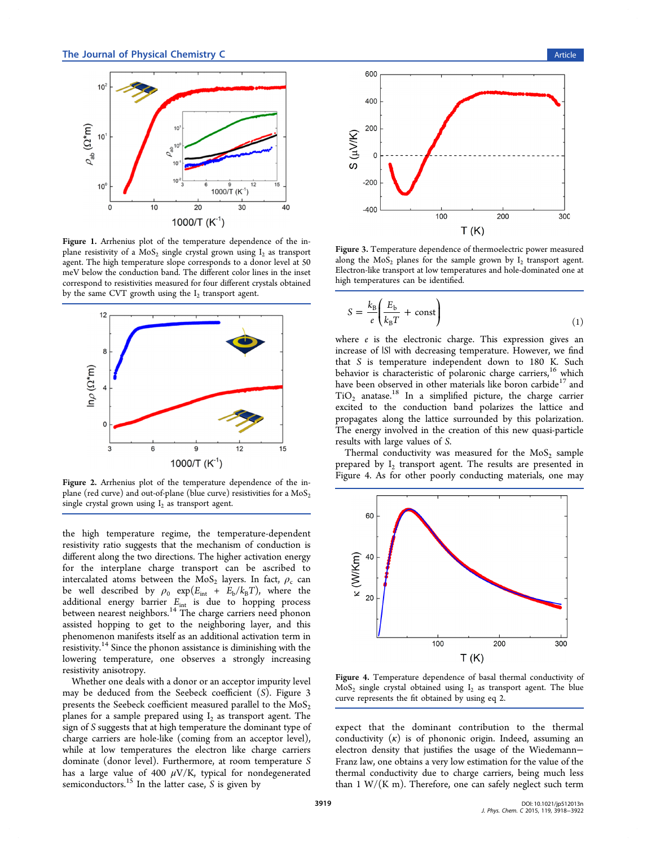<span id="page-1-0"></span>

Figure 1. Arrhenius plot of the temperature dependence of the inplane resistivity of a  $MoS<sub>2</sub>$  single crystal grown using  $I<sub>2</sub>$  as transport agent. The high temperature slope corresponds to a donor level at 50 meV below the conduction band. The different color lines in the inset correspond to resistivities measured for four different crystals obtained by the same CVT growth using the  $I_2$  transport agent.



Figure 2. Arrhenius plot of the temperature dependence of the inplane (red curve) and out-of-plane (blue curve) resistivities for a  $MoS<sub>2</sub>$ single crystal grown using  $I_2$  as transport agent.

the high temperature regime, the temperature-dependent resistivity ratio suggests that the mechanism of conduction is different along the two directions. The higher activation energy for the interplane charge transport can be ascribed to intercalated atoms between the  $MoS_2$  layers. In fact,  $\rho_c$  can be well described by  $\rho_0$  exp( $E_{int} + E_b/k_B T$ ), where the additional energy barrier  $E_{\text{int}}$  is due to hopping process between nearest neighbors.<sup>14</sup> The charge carriers need phonon assisted hopping to get to the neighboring layer, and this phenomenon manifests its[elf](#page-4-0) as an additional activation term in resistivity.<sup>14</sup> Since the phonon assistance is diminishing with the lowering temperature, one observes a strongly increasing resistivity [an](#page-4-0)isotropy.

Whether one deals with a donor or an acceptor impurity level may be deduced from the Seebeck coefficient (S). Figure 3 presents the Seebeck coefficient measured parallel to the  $MoS<sub>2</sub>$ planes for a sample prepared using  $I_2$  as transport agent. The sign of S suggests that at high temperature the dominant type of charge carriers are hole-like (coming from an acceptor level), while at low temperatures the electron like charge carriers dominate (donor level). Furthermore, at room temperature S has a large value of 400  $\mu$ V/K, typical for nondegenerated semiconductors.<sup>15</sup> In the latter case,  $S$  is given by



Figure 3. Temperature dependence of thermoelectric power measured along the  $MoS<sub>2</sub>$  planes for the sample grown by  $I<sub>2</sub>$  transport agent. Electron-like transport at low temperatures and hole-dominated one at high temperatures can be identified.

$$
S = \frac{k_{\rm B}}{e} \left( \frac{E_{\rm b}}{k_{\rm B} T} + \text{const} \right) \tag{1}
$$

where  $e$  is the electronic charge. This expression gives an increase of |S| with decreasing temperature. However, we find that S is temperature independent down to 180 K. Such behavior is characteristic of polaronic charge carriers,<sup>16</sup> which have been observed in other materials like boron carbide<sup>17</sup> and  $TiO<sub>2</sub>$  anatas[e](#page-4-0).<sup>18</sup> In a simplified picture, the charge carrier excited to the conduction band polarizes the lattic[e](#page-4-0) and propagates al[ong](#page-4-0) the lattice surrounded by this polarization. The energy involved in the creation of this new quasi-particle results with large values of S.

Thermal conductivity was measured for the  $MoS<sub>2</sub>$  sample prepared by  $I_2$  transport agent. The results are presented in Figure 4. As for other poorly conducting materials, one may



Figure 4. Temperature dependence of basal thermal conductivity of  $MoS<sub>2</sub>$  single crystal obtained using  $I<sub>2</sub>$  as transport agent. The blue curve represents the fit obtained by using eq 2.

expect that the dominant contributi[o](#page-2-0)n to the thermal conductivity  $(\kappa)$  is of phononic origin. Indeed, assuming an electron density that justifies the usage of the Wiedemann− Franz law, one obtains a very low estimation for the value of the thermal conductivity due to charge carriers, being much less than  $1 \text{ W/(K m)}$ . Therefore, one can safely neglect such term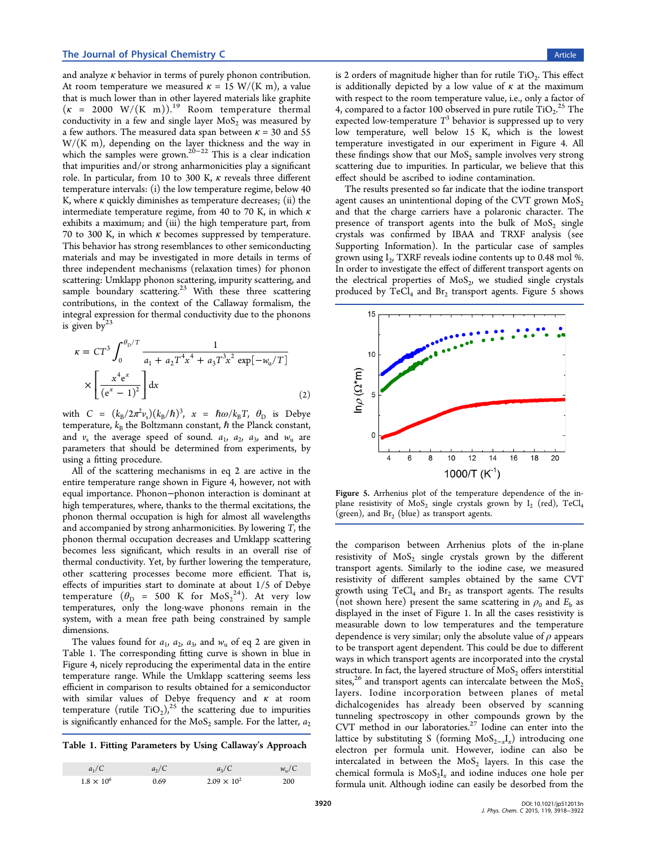<span id="page-2-0"></span>and analyze  $\kappa$  behavior in terms of purely phonon contribution. At room temperature we measured  $\kappa = 15$  W/(K m), a value that is much lower than in other layered materials like graphite  $(\kappa = 2000 \text{ W/(K m)})$ .<sup>19</sup> Room temperature thermal conductivity in a few and single layer  $MoS<sub>2</sub>$  was measured by a few authors. The measure[d d](#page-4-0)ata span between  $\kappa = 30$  and 55  $W/(K m)$ , depending on the layer thickness and the way in which the samples were grown.<sup>20−22</sup> This is a clear indication that impurities and/or strong anharmonicities play a significant role. In particular, from 10 to [300 K](#page-4-0),  $\kappa$  reveals three different temperature intervals: (i) the low temperature regime, below 40 K, where  $\kappa$  quickly diminishes as temperature decreases; (ii) the intermediate temperature regime, from 40 to 70 K, in which  $\kappa$ exhibits a maximum; and (iii) the high temperature part, from 70 to 300 K, in which  $\kappa$  becomes suppressed by temperature. This behavior has strong resemblances to other semiconducting materials and may be investigated in more details in terms of three independent mechanisms (relaxation times) for phonon scattering: Umklapp phonon scattering, impurity scattering, and sample boundary scattering.<sup>23</sup> With these three scattering contributions, in the context of the Callaway formalism, the integral expression for therma[l c](#page-4-0)onductivity due to the phonons is given  $bv^{23}$ 

$$
\kappa = CT^3 \int_0^{\theta_D/T} \frac{1}{a_1 + a_2 T^4 x^4 + a_3 T^3 x^2 \exp[-w_u/T]} \times \left[ \frac{x^4 e^x}{(e^x - 1)^2} \right] dx
$$
\n(2)

with  $C = (k_B/2\pi^2 v_s)(k_B/\hbar)^3$ ,  $x = \hbar \omega / k_B T$ ,  $\theta_D$  is Debye temperature,  $k_B$  the Boltzmann constant,  $\hbar$  the Planck constant, and  $v_s$  the average speed of sound.  $a_1$ ,  $a_2$ ,  $a_3$ , and  $w_u$  are parameters that should be determined from experiments, by using a fitting procedure.

All of the scattering mechanisms in eq 2 are active in the entire temperature range shown in Figure 4, however, not with equal importance. Phonon−phonon interaction is dominant at high temperatures, where, thanks to the th[er](#page-1-0)mal excitations, the phonon thermal occupation is high for almost all wavelengths and accompanied by strong anharmonicities. By lowering T, the phonon thermal occupation decreases and Umklapp scattering becomes less significant, which results in an overall rise of thermal conductivity. Yet, by further lowering the temperature, other scattering processes become more efficient. That is, effects of impurities start to dominate at about 1/5 of Debye temperature  $(\theta_{\text{D}} = 500 \text{ K} \text{ for } \text{MoS}_2^{24})$ . At very low temperatures, only the long-wave phonons remain in the system, with a mean free path being co[nstr](#page-4-0)ained by sample dimensions.

The values found for  $a_1$ ,  $a_2$ ,  $a_3$ , and  $w_u$  of eq 2 are given in Table 1. The corresponding fitting curve is shown in blue in Figure 4, nicely reproducing the experimental data in the entire temperature range. While the Umklapp scattering seems less efficie[nt](#page-1-0) in comparison to results obtained for a semiconductor with similar values of Debye frequency and  $\kappa$  at room temperature (rutile  $TiO<sub>2</sub>$ ),<sup>25</sup> the scattering due to impurities is significantly enhanced for the  $MoS<sub>2</sub>$  sample. For the latter,  $a<sub>2</sub>$ 

Table 1. Fitting Parameters by Using Callaway's Approach

| $a_1/C$             | $a_2/C$ | $a_3/C$              | $w_{\rm u}/C$ |
|---------------------|---------|----------------------|---------------|
| $1.8 \times 10^{6}$ | 0.69    | $2.09 \times 10^{2}$ | 200           |

is 2 orders of magnitude higher than for rutile  $TiO<sub>2</sub>$ . This effect is additionally depicted by a low value of  $\kappa$  at the maximum with respect to the room temperature value, i.e., only a factor of 4, compared to a factor 100 observed in pure rutile  $\text{TiO}_2$ .<sup>25</sup> The expected low-temperature  $T^3$  behavior is suppressed up to very low temperature, well below 15 K, which is the [lo](#page-4-0)west temperature investigated in our experiment in Figure 4. All these findings show that our  $MoS<sub>2</sub>$  sample involves very strong scattering due to impurities. In particular, we believe th[at](#page-1-0) this effect should be ascribed to iodine contamination.

The results presented so far indicate that the iodine transport agent causes an unintentional doping of the CVT grown  $MoS<sub>2</sub>$ and that the charge carriers have a polaronic character. The presence of transport agents into the bulk of  $MoS<sub>2</sub>$  single crystals was confirmed by IBAA and TRXF analysis (see Supporting Information). In the particular case of samples grown using  $I_2$ , TXRF reveals iodine contents up to 0.48 mol %. [In order to investigate th](#page-3-0)e effect of different transport agents on the electrical properties of  $MoS<sub>2</sub>$ , we studied single crystals produced by  $TeCl<sub>4</sub>$  and  $Br<sub>2</sub>$  transport agents. Figure 5 shows



Figure 5. Arrhenius plot of the temperature dependence of the inplane resistivity of  $MoS_2$  single crystals grown by  $I_2$  (red), TeCl<sub>4</sub> (green), and  $Br<sub>2</sub>$  (blue) as transport agents.

the comparison between Arrhenius plots of the in-plane resistivity of  $MoS<sub>2</sub>$  single crystals grown by the different transport agents. Similarly to the iodine case, we measured resistivity of different samples obtained by the same CVT growth using  $TeCl<sub>4</sub>$  and  $Br<sub>2</sub>$  as transport agents. The results (not shown here) present the same scattering in  $\rho_0$  and  $E_b$  as displayed in the inset of Figure 1. In all the cases resistivity is measurable down to low temperatures and the temperature dependence is very similar; only [th](#page-1-0)e absolute value of  $\rho$  appears to be transport agent dependent. This could be due to different ways in which transport agents are incorporated into the crystal structure. In fact, the layered structure of  $MoS<sub>2</sub>$  offers interstitial sites,<sup>26</sup> and transport agents can intercalate between the  $MoS<sub>2</sub>$ layers. Iodine incorporation between planes of metal dich[alc](#page-4-0)ogenides has already been observed by scanning tunneling spectroscopy in other compounds grown by the CVT method in our laboratories.<sup>27</sup> Iodine can enter into the lattice by substituting S (forming  $MoS_{2-x}I_{x}$ ) introducing one electron per formula unit. Ho[we](#page-4-0)ver, iodine can also be intercalated in between the  $MoS<sub>2</sub>$  layers. In this case the chemical formula is  $MoS<sub>2</sub>I<sub>x</sub>$  and iodine induces one hole per formula unit. Although iodine can easily be desorbed from the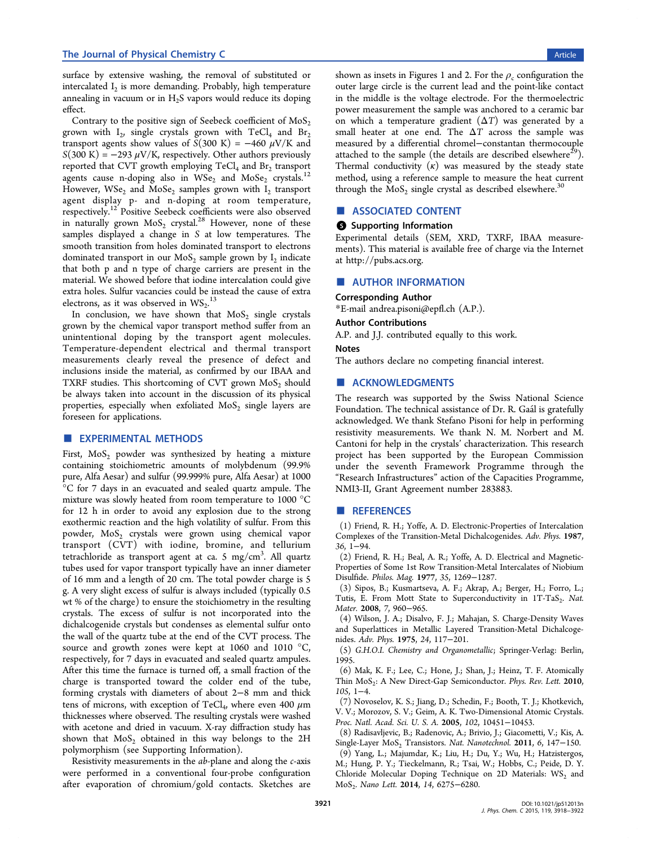<span id="page-3-0"></span>surface by extensive washing, the removal of substituted or intercalated  $I_2$  is more demanding. Probably, high temperature annealing in vacuum or in  $H_2S$  vapors would reduce its doping effect.

Contrary to the positive sign of Seebeck coefficient of  $MoS<sub>2</sub>$ grown with  $I_2$ , single crystals grown with TeCl<sub>4</sub> and Br<sub>2</sub> transport agents show values of  $S(300 \text{ K}) = -460 \mu\text{V/K}$  and  $S(300 \text{ K}) = -293 \mu\text{V/K}$ , respectively. Other authors previously reported that CVT growth employing  $TeCl<sub>4</sub>$  and Br<sub>2</sub> transport agents cause n-doping also in  $WSe<sub>2</sub>$  and  $MoSe<sub>2</sub>$  crystals.<sup>12</sup> However,  $WSe_2$  and  $MoSe_2$  samples grown with  $I_2$  transport agent display p- and n-doping at room temperatu[re,](#page-4-0) respectively.<sup>12</sup> Positive Seebeck coefficients were also observed in naturally grown  $MoS_2$  crystal.<sup>28</sup> However, none of these samples dis[pl](#page-4-0)ayed a change in S at low temperatures. The smooth transition from holes do[min](#page-4-0)ated transport to electrons dominated transport in our  $MoS<sub>2</sub>$  sample grown by  $I<sub>2</sub>$  indicate that both p and n type of charge carriers are present in the material. We showed before that iodine intercalation could give extra holes. Sulfur vacancies could be instead the cause of extra electrons, as it was observed in  $\text{WS}_2$ .<sup>13</sup>

In conclusion, we have shown that  $MoS<sub>2</sub>$  single crystals grown by the chemical vapor transp[ort](#page-4-0) method suffer from an unintentional doping by the transport agent molecules. Temperature-dependent electrical and thermal transport measurements clearly reveal the presence of defect and inclusions inside the material, as confirmed by our IBAA and TXRF studies. This shortcoming of CVT grown  $MoS<sub>2</sub>$  should be always taken into account in the discussion of its physical properties, especially when exfoliated  $MoS<sub>2</sub>$  single layers are foreseen for applications.

## **EXPERIMENTAL METHODS**

First,  $MoS<sub>2</sub>$  powder was synthesized by heating a mixture containing stoichiometric amounts of molybdenum (99.9% pure, Alfa Aesar) and sulfur (99.999% pure, Alfa Aesar) at 1000 °C for 7 days in an evacuated and sealed quartz ampule. The mixture was slowly heated from room temperature to 1000 °C for 12 h in order to avoid any explosion due to the strong exothermic reaction and the high volatility of sulfur. From this powder, MoS<sub>2</sub> crystals were grown using chemical vapor transport (CVT) with iodine, bromine, and tellurium tetrachloride as transport agent at ca. 5 mg/cm<sup>3</sup>. All quartz tubes used for vapor transport typically have an inner diameter of 16 mm and a length of 20 cm. The total powder charge is 5 g. A very slight excess of sulfur is always included (typically 0.5 wt % of the charge) to ensure the stoichiometry in the resulting crystals. The excess of sulfur is not incorporated into the dichalcogenide crystals but condenses as elemental sulfur onto the wall of the quartz tube at the end of the CVT process. The source and growth zones were kept at 1060 and 1010 °C, respectively, for 7 days in evacuated and sealed quartz ampules. After this time the furnace is turned off, a small fraction of the charge is transported toward the colder end of the tube, forming crystals with diameters of about 2−8 mm and thick tens of microns, with exception of TeCl<sub>4</sub>, where even 400  $\mu$ m thicknesses where observed. The resulting crystals were washed with acetone and dried in vacuum. X-ray diffraction study has shown that  $MoS<sub>2</sub>$  obtained in this way belongs to the 2H polymorphism (see Supporting Information).

Resistivity measurements in the ab-plane and along the c-axis were performed in a conventional four-probe configuration after evaporation of chromium/gold contacts. Sketches are

shown as insets in Figures 1 and 2. For the  $\rho_c$  configuration the outer large circle is the current lead and the point-like contact in the middle is the volta[ge](#page-1-0) ele[ct](#page-1-0)rode. For the thermoelectric power measurement the sample was anchored to a ceramic bar on which a temperature gradient  $(\Delta T)$  was generated by a small heater at one end. The  $\Delta T$  across the sample was measured by a differential chromel−constantan thermocouple attached to the sample (the details are described elsewhere<sup>29</sup>). Thermal conductivity  $(\kappa)$  was measured by the steady state method, using a reference sample to measure the heat cur[ren](#page-4-0)t through the  $MoS<sub>2</sub>$  single crystal as described elsewhere.<sup>30</sup>

# ■ ASSOCIATED CONTENT

#### **3** Supporting Information

Experimental details (SEM, XRD, TXRF, IBAA measurements). This material is available free of charge via the Internet at http://pubs.acs.org.

# ■ [AUTHOR INFOR](http://pubs.acs.org)MATION

## Corresponding Author

\*E-mail andrea.pisoni@epfl.ch (A.P.).

#### Author Contributions

A.P. an[d J.J. contributed equal](mailto:andrea.pisoni@epfl.ch)ly to this work.

#### Notes

The authors declare no competing financial interest.

## ■ ACKNOWLEDGMENTS

The research was supported by the Swiss National Science Foundation. The technical assistance of Dr. R. Gaal is gratefully acknowledged. We thank Stefano Pisoni for help in performing resistivity measurements. We thank N. M. Norbert and M. Cantoni for help in the crystals' characterization. This research project has been supported by the European Commission under the seventh Framework Programme through the "Research Infrastructures" action of the Capacities Programme, NMI3-II, Grant Agreement number 283883.

## ■ REFERENCES

(1) Friend, R. H.; Yoffe, A. D. Electronic-Properties of Intercalation Complexes of the Transition-Metal Dichalcogenides. Adv. Phys. 1987, 36, 1−94.

(2) Friend, R. H.; Beal, A. R.; Yoffe, A. D. Electrical and Magnetic-Properties of Some 1st Row Transition-Metal Intercalates of Niobium Disulfide. Philos. Mag. 1977, 35, 1269−1287.

(3) Sipos, B.; Kusmartseva, A. F.; Akrap, A.; Berger, H.; Forro, L.; Tutis, E. From Mott State to Superconductivity in 1T-TaS<sub>2</sub>. Nat. Mater. 2008, 7, 960−965.

(4) Wilson, J. A.; Disalvo, F. J.; Mahajan, S. Charge-Density Waves and Superlattices in Metallic Layered Transition-Metal Dichalcogenides. Adv. Phys. 1975, 24, 117−201.

(5) G.H.O.I. Chemistry and Organometallic; Springer-Verlag: Berlin, 1995.

(6) Mak, K. F.; Lee, C.; Hone, J.; Shan, J.; Heinz, T. F. Atomically Thin MoS<sub>2</sub>: A New Direct-Gap Semiconductor. Phys. Rev. Lett. 2010, 105, 1−4.

(7) Novoselov, K. S.; Jiang, D.; Schedin, F.; Booth, T. J.; Khotkevich, V. V.; Morozov, S. V.; Geim, A. K. Two-Dimensional Atomic Crystals. Proc. Natl. Acad. Sci. U. S. A. 2005, 102, 10451−10453.

(8) Radisavljevic, B.; Radenovic, A.; Brivio, J.; Giacometti, V.; Kis, A. Single-Layer MoS<sub>2</sub> Transistors. Nat. Nanotechnol. 2011, 6, 147-150.

(9) Yang, L.; Majumdar, K.; Liu, H.; Du, Y.; Wu, H.; Hatzistergos, M.; Hung, P. Y.; Tieckelmann, R.; Tsai, W.; Hobbs, C.; Peide, D. Y. Chloride Molecular Doping Technique on 2D Materials:  $WS_2$  and MoS2. Nano Lett. 2014, 14, 6275−6280.